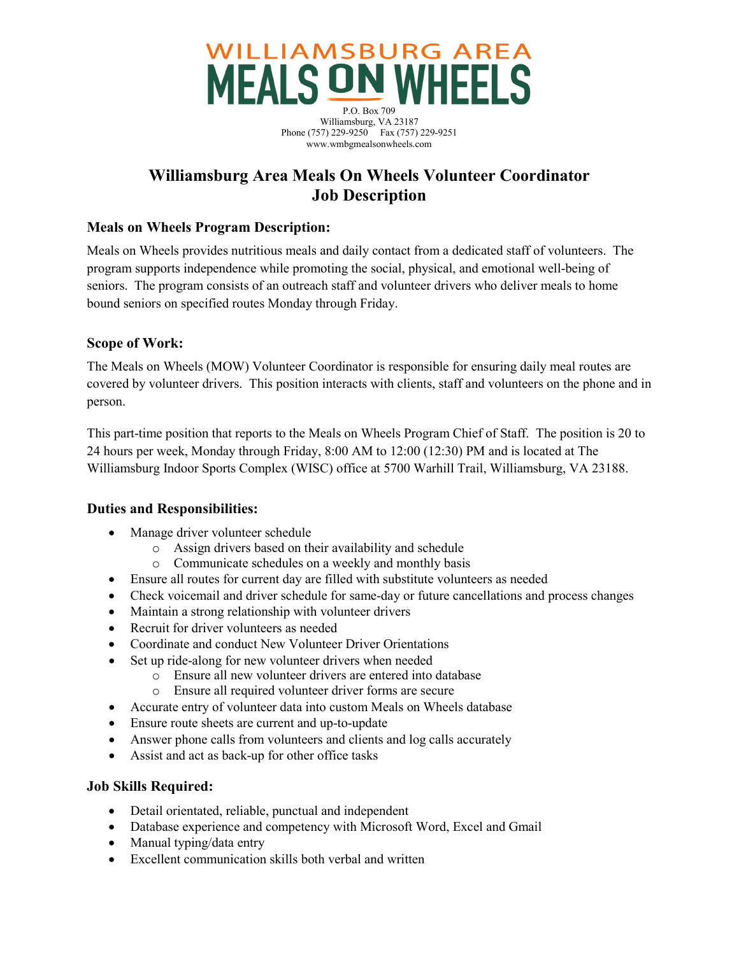

# **Williamsburg Area Meals On Wheels Volunteer Coordinator Job Description**

### **Meals on Wheels Program Description:**

Meals on Wheels provides nutritious meals and daily contact from a dedicated staff of volunteers. The program supports independence while promoting the social, physical, and emotional well-being of seniors. The program consists of an outreach staff and volunteer drivers who deliver meals to home bound seniors on specified routes Monday through Friday.

#### **Scope of Work:**

The Meals on Wheels (MOW) Volunteer Coordinator is responsible for ensuring daily meal routes are covered by volunteer drivers. This position interacts with clients, staff and volunteers on the phone and in person.

This part-time position that reports to the Meals on Wheels Program Chief of Staff. The position is 20 to 24 hours per week, Monday through Friday, 8:00 AM to 12:00 (12:30) PM and is located at The Williamsburg Indoor Sports Complex (WISC) office at 5700 Warhill Trail, Williamsburg, VA 23188.

#### **Duties and Responsibilities:**

- Manage driver volunteer schedule
	- o Assign drivers based on their availability and schedule
	- o Communicate schedules on a weekly and monthly basis
- Ensure all routes for current day are filled with substitute volunteers as needed
- Check voicemail and driver schedule for same-day or future cancellations and process changes
- Maintain a strong relationship with volunteer drivers
- Recruit for driver volunteers as needed
- Coordinate and conduct New Volunteer Driver Orientations
- Set up ride-along for new volunteer drivers when needed
	- o Ensure all new volunteer drivers are entered into database
	- o Ensure all required volunteer driver forms are secure
- Accurate entry of volunteer data into custom Meals on Wheels database
- Ensure route sheets are current and up-to-update
- Answer phone calls from volunteers and clients and log calls accurately
- Assist and act as back-up for other office tasks

## **Job Skills Required:**

- Detail orientated, reliable, punctual and independent
- Database experience and competency with Microsoft Word, Excel and Gmail
- Manual typing/data entry
- Excellent communication skills both verbal and written